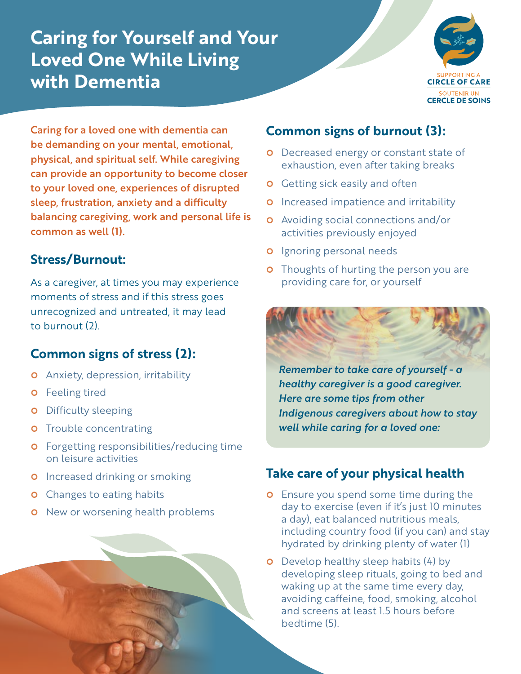# **Caring for Yourself and Your Loved One While Living with Dementia**



Caring for a loved one with dementia can be demanding on your mental, emotional, physical, and spiritual self. While caregiving can provide an opportunity to become closer to your loved one, experiences of disrupted sleep, frustration, anxiety and a difficulty balancing caregiving, work and personal life is common as well (1).

# **Stress/Burnout:**

As a caregiver, at times you may experience moments of stress and if this stress goes unrecognized and untreated, it may lead to burnout (2).

# **Common signs of stress (2):**

- **O** Anxiety, depression, irritability
- **o** Feeling tired
- **o** Difficulty sleeping
- **o** Trouble concentrating
- **o** Forgetting responsibilities/reducing time on leisure activities
- **o** Increased drinking or smoking
- **o** Changes to eating habits
- **o** New or worsening health problems

# **Common signs of burnout (3):**

- **o** Decreased energy or constant state of exhaustion, even after taking breaks
- **o** Getting sick easily and often
- **o** Increased impatience and irritability
- **o** Avoiding social connections and/or activities previously enjoyed
- **o** Ignoring personal needs
- **o** Thoughts of hurting the person you are providing care for, or yourself



*Remember to take care of yourself - a healthy caregiver is a good caregiver. Here are some tips from other Indigenous caregivers about how to stay well while caring for a loved one:* 

# **Take care of your physical health**

- **O** Ensure you spend some time during the day to exercise (even if it's just 10 minutes a day), eat balanced nutritious meals, including country food (if you can) and stay hydrated by drinking plenty of water (1)
- **o** Develop healthy sleep habits (4) by developing sleep rituals, going to bed and waking up at the same time every day, avoiding caffeine, food, smoking, alcohol and screens at least 1.5 hours before bedtime (5).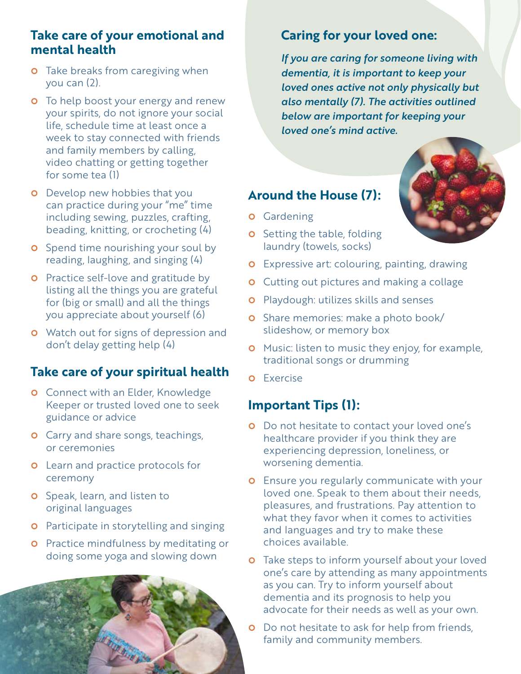### **Take care of your emotional and mental health**

- **o** Take breaks from caregiving when you can (2).
- **O** To help boost your energy and renew your spirits, do not ignore your social life, schedule time at least once a week to stay connected with friends and family members by calling, video chatting or getting together for some tea (1)
- **o** Develop new hobbies that you can practice during your "me" time including sewing, puzzles, crafting, beading, knitting, or crocheting (4)
- **o** Spend time nourishing your soul by reading, laughing, and singing (4)
- **o** Practice self-love and gratitude by listing all the things you are grateful for (big or small) and all the things you appreciate about yourself (6)
- **o** Watch out for signs of depression and don't delay getting help (4)

### **Take care of your spiritual health**

- **o** Connect with an Elder, Knowledge Keeper or trusted loved one to seek guidance or advice
- **o** Carry and share songs, teachings, or ceremonies
- **o** Learn and practice protocols for ceremony
- **o** Speak, learn, and listen to original languages
- **o** Participate in storytelling and singing
- **o** Practice mindfulness by meditating or doing some yoga and slowing down



### **Caring for your loved one:**

*If you are caring for someone living with dementia, it is important to keep your loved ones active not only physically but also mentally (7). The activities outlined below are important for keeping your loved one's mind active.* 

### **Around the House (7):**

- **o** Gardening
- **o** Setting the table, folding laundry (towels, socks)
- **o** Expressive art: colouring, painting, drawing
- **O** Cutting out pictures and making a collage
- **o** Playdough: utilizes skills and senses
- **o** Share memories: make a photo book/ slideshow, or memory box
- **O** Music: listen to music they enjoy, for example, traditional songs or drumming
- **o** Exercise

# **Important Tips (1):**

- **o** Do not hesitate to contact your loved one's healthcare provider if you think they are experiencing depression, loneliness, or worsening dementia.
- **O** Ensure you regularly communicate with your loved one. Speak to them about their needs, pleasures, and frustrations. Pay attention to what they favor when it comes to activities and languages and try to make these choices available.
- **o** Take steps to inform yourself about your loved one's care by attending as many appointments as you can. Try to inform yourself about dementia and its prognosis to help you advocate for their needs as well as your own.
- Do not hesitate to ask for help from friends, family and community members.